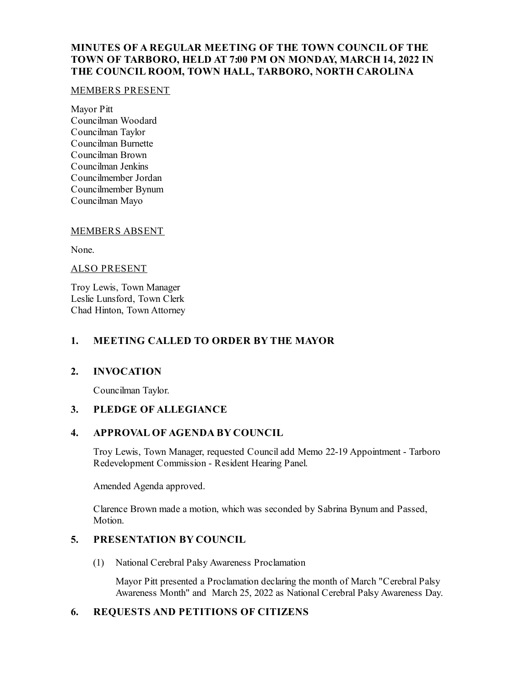# **MINUTES OF A REGULAR MEETING OF THE TOWN COUNCIL OF THE TOWN OF TARBORO, HELD AT 7:00 PM ON MONDAY, MARCH 14, 2022 IN THE COUNCIL ROOM, TOWN HALL, TARBORO, NORTH CAROLINA**

#### MEMBERS PRESENT

Mayor Pitt Councilman Woodard Councilman Taylor Councilman Burnette Councilman Brown Councilman Jenkins Councilmember Jordan Councilmember Bynum Councilman Mayo

### MEMBERS ABSENT

None.

### ALSO PRESENT

Troy Lewis, Town Manager Leslie Lunsford, Town Clerk Chad Hinton, Town Attorney

### **1. MEETING CALLED TO ORDER BY THE MAYOR**

## **2. INVOCATION**

Councilman Taylor.

# **3. PLEDGE OF ALLEGIANCE**

#### **4. APPROVAL OF AGENDA BY COUNCIL**

Troy Lewis, Town Manager, requested Counciladd Memo 22-19 Appointment - Tarboro Redevelopment Commission - Resident Hearing Panel.

Amended Agenda approved.

Clarence Brown made a motion, which was seconded by Sabrina Bynum and Passed, Motion.

# **5. PRESENTATION BY COUNCIL**

(1) National Cerebral Palsy Awareness Proclamation

Mayor Pitt presented a Proclamation declaring the month of March "Cerebral Palsy Awareness Month" and March 25, 2022 as National Cerebral Palsy Awareness Day.

# **6. REQUESTS AND PETITIONS OF CITIZENS**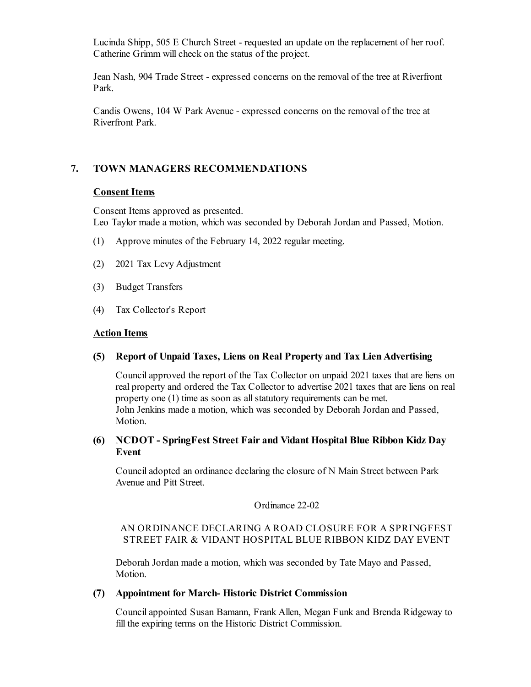Lucinda Shipp, 505 E Church Street - requested an update on the replacement of her roof. Catherine Grimm will check on the status of the project.

Jean Nash, 904 Trade Street - expressed concerns on the removal of the tree at Riverfront Park.

Candis Owens, 104 W Park Avenue - expressed concerns on the removal of the tree at Riverfront Park.

# **7. TOWN MANAGERS RECOMMENDATIONS**

### **Consent Items**

Consent Items approved as presented.

Leo Taylor made a motion, which was seconded by Deborah Jordan and Passed, Motion.

- (1) Approve minutes of the February 14, 2022 regular meeting.
- (2) 2021 Tax Levy Adjustment
- (3) Budget Transfers
- (4) Tax Collector's Report

### **Action Items**

**(5) Report of Unpaid Taxes, Liens on Real Property and Tax LienAdvertising**

Councilapproved the report of the Tax Collector on unpaid 2021 taxes that are liens on real property and ordered the Tax Collector to advertise 2021 taxes that are liens on real property one (1) time as soon as all statutory requirements can be met. John Jenkins made a motion, which was seconded by Deborah Jordan and Passed, Motion.

## **(6) NCDOT - SpringFest Street Fair and Vidant Hospital Blue Ribbon Kidz Day Event**

Counciladopted an ordinance declaring the closure of N Main Street between Park Avenue and Pitt Street.

#### Ordinance 22-02

## AN ORDINANCE DECLARING A ROAD CLOSURE FOR A SPRINGFEST STREET FAIR & VIDANT HOSPITAL BLUE RIBBON KIDZ DAY EVENT

Deborah Jordan made a motion, which was seconded by Tate Mayo and Passed, Motion.

### **(7) Appointment for March- Historic District Commission**

Councilappointed Susan Bamann, Frank Allen, Megan Funk and Brenda Ridgeway to fill the expiring terms on the Historic District Commission.